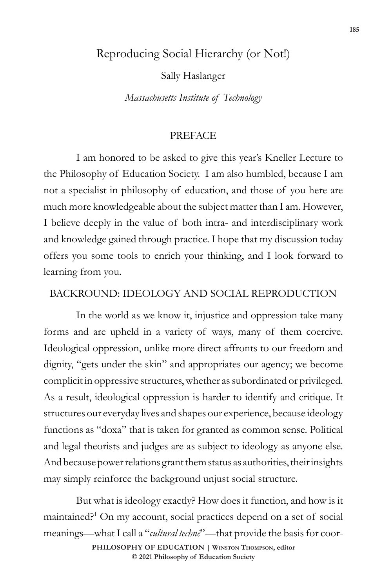### Reproducing Social Hierarchy (or Not!)

Sally Haslanger

*Massachusetts Institute of Technology*

### PREFACE

I am honored to be asked to give this year's Kneller Lecture to the Philosophy of Education Society. I am also humbled, because I am not a specialist in philosophy of education, and those of you here are much more knowledgeable about the subject matter than I am. However, I believe deeply in the value of both intra- and interdisciplinary work and knowledge gained through practice. I hope that my discussion today offers you some tools to enrich your thinking, and I look forward to learning from you.

#### BACKROUND: IDEOLOGY AND SOCIAL REPRODUCTION

In the world as we know it, injustice and oppression take many forms and are upheld in a variety of ways, many of them coercive. Ideological oppression, unlike more direct affronts to our freedom and dignity, "gets under the skin" and appropriates our agency; we become complicit in oppressive structures, whether as subordinated or privileged. As a result, ideological oppression is harder to identify and critique. It structures our everyday lives and shapes our experience, because ideology functions as "doxa" that is taken for granted as common sense. Political and legal theorists and judges are as subject to ideology as anyone else. And because power relations grant them status as authorities, their insights may simply reinforce the background unjust social structure.

But what is ideology exactly? How does it function, and how is it maintained?1 On my account, social practices depend on a set of social meanings—what I call a "*cultural technē*"—that provide the basis for coor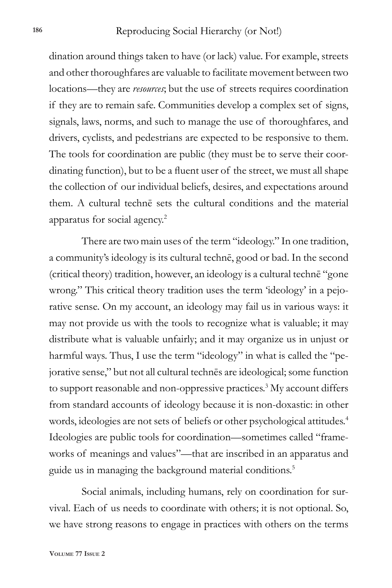dination around things taken to have (or lack) value. For example, streets and other thoroughfares are valuable to facilitate movement between two locations—they are *resources*; but the use of streets requires coordination if they are to remain safe. Communities develop a complex set of signs, signals, laws, norms, and such to manage the use of thoroughfares, and drivers, cyclists, and pedestrians are expected to be responsive to them. The tools for coordination are public (they must be to serve their coordinating function), but to be a fluent user of the street, we must all shape the collection of our individual beliefs, desires, and expectations around them. A cultural technē sets the cultural conditions and the material apparatus for social agency.2

There are two main uses of the term "ideology." In one tradition, a community's ideology is its cultural technē, good or bad. In the second (critical theory) tradition, however, an ideology is a cultural technē "gone wrong." This critical theory tradition uses the term 'ideology' in a pejorative sense. On my account, an ideology may fail us in various ways: it may not provide us with the tools to recognize what is valuable; it may distribute what is valuable unfairly; and it may organize us in unjust or harmful ways. Thus, I use the term "ideology" in what is called the "pejorative sense," but not all cultural technēs are ideological; some function to support reasonable and non-oppressive practices.<sup>3</sup> My account differs from standard accounts of ideology because it is non-doxastic: in other words, ideologies are not sets of beliefs or other psychological attitudes.<sup>4</sup> Ideologies are public tools for coordination—sometimes called "frameworks of meanings and values"—that are inscribed in an apparatus and guide us in managing the background material conditions.<sup>5</sup>

Social animals, including humans, rely on coordination for survival. Each of us needs to coordinate with others; it is not optional. So, we have strong reasons to engage in practices with others on the terms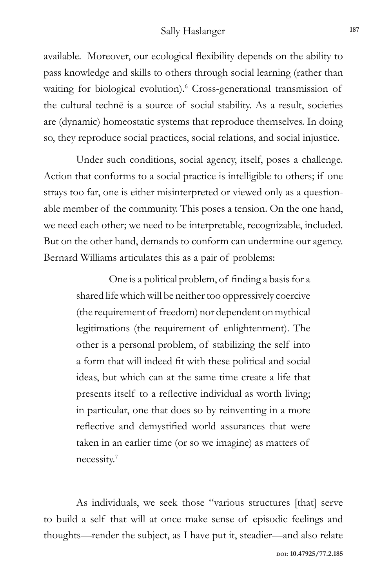available. Moreover, our ecological flexibility depends on the ability to pass knowledge and skills to others through social learning (rather than waiting for biological evolution).<sup>6</sup> Cross-generational transmission of the cultural technē is a source of social stability. As a result, societies are (dynamic) homeostatic systems that reproduce themselves. In doing so, they reproduce social practices, social relations, and social injustice.

Under such conditions, social agency, itself, poses a challenge. Action that conforms to a social practice is intelligible to others; if one strays too far, one is either misinterpreted or viewed only as a questionable member of the community. This poses a tension. On the one hand, we need each other; we need to be interpretable, recognizable, included. But on the other hand, demands to conform can undermine our agency. Bernard Williams articulates this as a pair of problems:

> One is a political problem, of finding a basis for a shared life which will be neither too oppressively coercive (the requirement of freedom) nor dependent on mythical legitimations (the requirement of enlightenment). The other is a personal problem, of stabilizing the self into a form that will indeed fit with these political and social ideas, but which can at the same time create a life that presents itself to a reflective individual as worth living; in particular, one that does so by reinventing in a more reflective and demystified world assurances that were taken in an earlier time (or so we imagine) as matters of necessity.7

As individuals, we seek those "various structures [that] serve to build a self that will at once make sense of episodic feelings and thoughts—render the subject, as I have put it, steadier—and also relate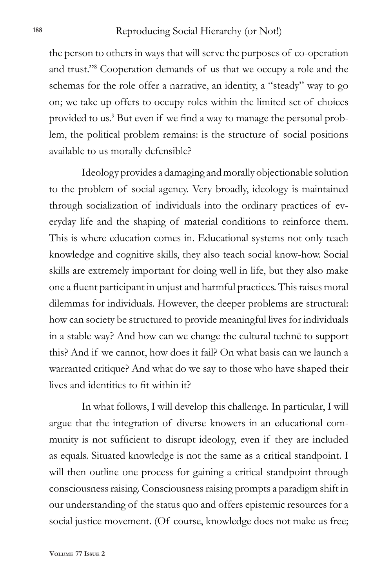the person to others in ways that will serve the purposes of co-operation and trust."8 Cooperation demands of us that we occupy a role and the schemas for the role offer a narrative, an identity, a "steady" way to go on; we take up offers to occupy roles within the limited set of choices provided to us.<sup>9</sup> But even if we find a way to manage the personal problem, the political problem remains: is the structure of social positions available to us morally defensible?

Ideology provides a damaging and morally objectionable solution to the problem of social agency. Very broadly, ideology is maintained through socialization of individuals into the ordinary practices of everyday life and the shaping of material conditions to reinforce them. This is where education comes in. Educational systems not only teach knowledge and cognitive skills, they also teach social know-how. Social skills are extremely important for doing well in life, but they also make one a fluent participant in unjust and harmful practices. This raises moral dilemmas for individuals. However, the deeper problems are structural: how can society be structured to provide meaningful lives for individuals in a stable way? And how can we change the cultural technē to support this? And if we cannot, how does it fail? On what basis can we launch a warranted critique? And what do we say to those who have shaped their lives and identities to fit within it?

In what follows, I will develop this challenge. In particular, I will argue that the integration of diverse knowers in an educational community is not sufficient to disrupt ideology, even if they are included as equals. Situated knowledge is not the same as a critical standpoint. I will then outline one process for gaining a critical standpoint through consciousness raising. Consciousness raising prompts a paradigm shift in our understanding of the status quo and offers epistemic resources for a social justice movement. (Of course, knowledge does not make us free;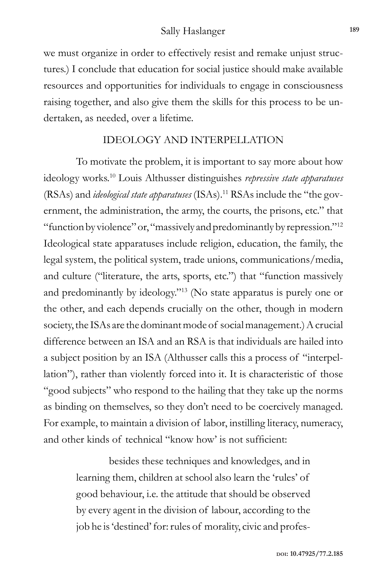we must organize in order to effectively resist and remake unjust structures.) I conclude that education for social justice should make available resources and opportunities for individuals to engage in consciousness raising together, and also give them the skills for this process to be undertaken, as needed, over a lifetime.

#### IDEOLOGY AND INTERPELLATION

To motivate the problem, it is important to say more about how ideology works.10 Louis Althusser distinguishes *repressive state apparatuses* (RSAs) and *ideological state apparatuses* (ISAs).11 RSAs include the "the government, the administration, the army, the courts, the prisons, etc." that "function by violence" or, "massively and predominantly by repression."12 Ideological state apparatuses include religion, education, the family, the legal system, the political system, trade unions, communications/media, and culture ("literature, the arts, sports, etc.") that "function massively and predominantly by ideology."13 (No state apparatus is purely one or the other, and each depends crucially on the other, though in modern society, the ISAs are the dominant mode of social management.) A crucial difference between an ISA and an RSA is that individuals are hailed into a subject position by an ISA (Althusser calls this a process of "interpellation"), rather than violently forced into it. It is characteristic of those "good subjects" who respond to the hailing that they take up the norms as binding on themselves, so they don't need to be coercively managed. For example, to maintain a division of labor, instilling literacy, numeracy, and other kinds of technical "know how' is not sufficient:

> besides these techniques and knowledges, and in learning them, children at school also learn the 'rules' of good behaviour, i.e. the attitude that should be observed by every agent in the division of labour, according to the job he is 'destined' for: rules of morality, civic and profes-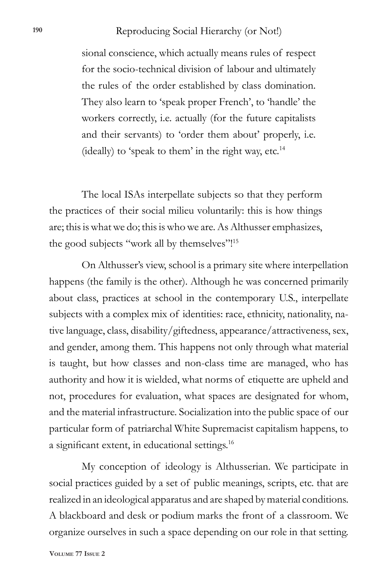#### Reproducing Social Hierarchy (or Not!) **<sup>190</sup>**

sional conscience, which actually means rules of respect for the socio-technical division of labour and ultimately the rules of the order established by class domination. They also learn to 'speak proper French', to 'handle' the workers correctly, i.e. actually (for the future capitalists and their servants) to 'order them about' properly, i.e. (ideally) to 'speak to them' in the right way, etc. $14$ 

The local ISAs interpellate subjects so that they perform the practices of their social milieu voluntarily: this is how things are; this is what we do; this is who we are. As Althusser emphasizes, the good subjects "work all by themselves"!15

On Althusser's view, school is a primary site where interpellation happens (the family is the other). Although he was concerned primarily about class, practices at school in the contemporary U.S., interpellate subjects with a complex mix of identities: race, ethnicity, nationality, native language, class, disability/giftedness, appearance/attractiveness, sex, and gender, among them. This happens not only through what material is taught, but how classes and non-class time are managed, who has authority and how it is wielded, what norms of etiquette are upheld and not, procedures for evaluation, what spaces are designated for whom, and the material infrastructure. Socialization into the public space of our particular form of patriarchal White Supremacist capitalism happens, to a significant extent, in educational settings.<sup>16</sup>

My conception of ideology is Althusserian. We participate in social practices guided by a set of public meanings, scripts, etc. that are realized in an ideological apparatus and are shaped by material conditions. A blackboard and desk or podium marks the front of a classroom. We organize ourselves in such a space depending on our role in that setting.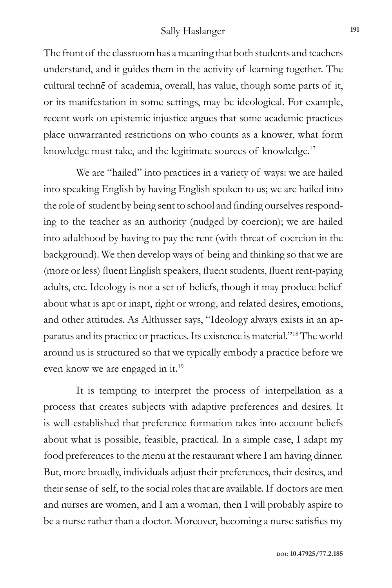The front of the classroom has a meaning that both students and teachers understand, and it guides them in the activity of learning together. The cultural technē of academia, overall, has value, though some parts of it, or its manifestation in some settings, may be ideological. For example, recent work on epistemic injustice argues that some academic practices place unwarranted restrictions on who counts as a knower, what form knowledge must take, and the legitimate sources of knowledge.<sup>17</sup>

We are "hailed" into practices in a variety of ways: we are hailed into speaking English by having English spoken to us; we are hailed into the role of student by being sent to school and finding ourselves responding to the teacher as an authority (nudged by coercion); we are hailed into adulthood by having to pay the rent (with threat of coercion in the background). We then develop ways of being and thinking so that we are (more or less) fluent English speakers, fluent students, fluent rent-paying adults, etc. Ideology is not a set of beliefs, though it may produce belief about what is apt or inapt, right or wrong, and related desires, emotions, and other attitudes. As Althusser says, "Ideology always exists in an apparatus and its practice or practices. Its existence is material."18 The world around us is structured so that we typically embody a practice before we even know we are engaged in it.19

It is tempting to interpret the process of interpellation as a process that creates subjects with adaptive preferences and desires. It is well-established that preference formation takes into account beliefs about what is possible, feasible, practical. In a simple case, I adapt my food preferences to the menu at the restaurant where I am having dinner. But, more broadly, individuals adjust their preferences, their desires, and their sense of self, to the social roles that are available. If doctors are men and nurses are women, and I am a woman, then I will probably aspire to be a nurse rather than a doctor. Moreover, becoming a nurse satisfies my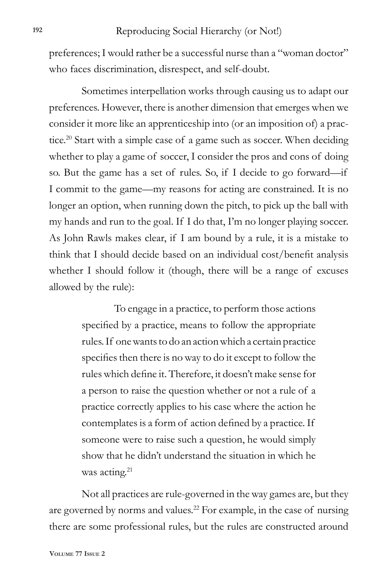preferences; I would rather be a successful nurse than a "woman doctor" who faces discrimination, disrespect, and self-doubt.

Sometimes interpellation works through causing us to adapt our preferences. However, there is another dimension that emerges when we consider it more like an apprenticeship into (or an imposition of) a practice.<sup>20</sup> Start with a simple case of a game such as soccer. When deciding whether to play a game of soccer, I consider the pros and cons of doing so. But the game has a set of rules. So, if I decide to go forward—if I commit to the game—my reasons for acting are constrained. It is no longer an option, when running down the pitch, to pick up the ball with my hands and run to the goal. If I do that, I'm no longer playing soccer. As John Rawls makes clear, if I am bound by a rule, it is a mistake to think that I should decide based on an individual cost/benefit analysis whether I should follow it (though, there will be a range of excuses allowed by the rule):

> To engage in a practice, to perform those actions specified by a practice, means to follow the appropriate rules. If one wants to do an action which a certain practice specifies then there is no way to do it except to follow the rules which define it. Therefore, it doesn't make sense for a person to raise the question whether or not a rule of a practice correctly applies to his case where the action he contemplates is a form of action defined by a practice. If someone were to raise such a question, he would simply show that he didn't understand the situation in which he was acting.<sup>21</sup>

Not all practices are rule-governed in the way games are, but they are governed by norms and values.22 For example, in the case of nursing there are some professional rules, but the rules are constructed around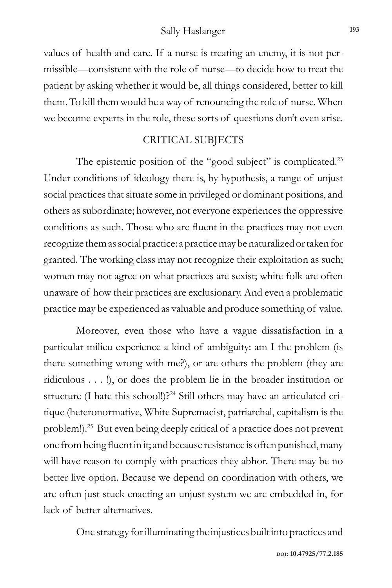values of health and care. If a nurse is treating an enemy, it is not permissible—consistent with the role of nurse—to decide how to treat the patient by asking whether it would be, all things considered, better to kill them. To kill them would be a way of renouncing the role of nurse. When we become experts in the role, these sorts of questions don't even arise.

### CRITICAL SUBJECTS

The epistemic position of the "good subject" is complicated.<sup>23</sup> Under conditions of ideology there is, by hypothesis, a range of unjust social practices that situate some in privileged or dominant positions, and others as subordinate; however, not everyone experiences the oppressive conditions as such. Those who are fluent in the practices may not even recognize them as social practice: a practice may be naturalized or taken for granted. The working class may not recognize their exploitation as such; women may not agree on what practices are sexist; white folk are often unaware of how their practices are exclusionary. And even a problematic practice may be experienced as valuable and produce something of value.

Moreover, even those who have a vague dissatisfaction in a particular milieu experience a kind of ambiguity: am I the problem (is there something wrong with me?), or are others the problem (they are ridiculous . . . !), or does the problem lie in the broader institution or structure (I hate this school!)?<sup>24</sup> Still others may have an articulated critique (heteronormative, White Supremacist, patriarchal, capitalism is the problem!).25 But even being deeply critical of a practice does not prevent one from being fluent in it; and because resistance is often punished, many will have reason to comply with practices they abhor. There may be no better live option. Because we depend on coordination with others, we are often just stuck enacting an unjust system we are embedded in, for lack of better alternatives.

One strategy for illuminating the injustices built into practices and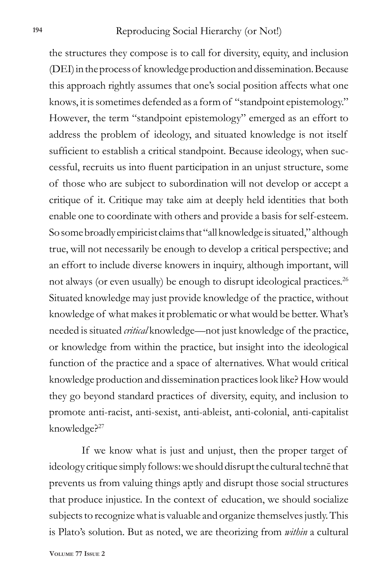the structures they compose is to call for diversity, equity, and inclusion (DEI) in the process of knowledge production and dissemination. Because this approach rightly assumes that one's social position affects what one knows, it is sometimes defended as a form of "standpoint epistemology." However, the term "standpoint epistemology" emerged as an effort to address the problem of ideology, and situated knowledge is not itself sufficient to establish a critical standpoint. Because ideology, when successful, recruits us into fluent participation in an unjust structure, some of those who are subject to subordination will not develop or accept a critique of it. Critique may take aim at deeply held identities that both enable one to coordinate with others and provide a basis for self-esteem. So some broadly empiricist claims that "all knowledge is situated," although true, will not necessarily be enough to develop a critical perspective; and an effort to include diverse knowers in inquiry, although important, will not always (or even usually) be enough to disrupt ideological practices.<sup>26</sup> Situated knowledge may just provide knowledge of the practice, without knowledge of what makes it problematic or what would be better. What's needed is situated *critical* knowledge—not just knowledge of the practice, or knowledge from within the practice, but insight into the ideological function of the practice and a space of alternatives. What would critical knowledge production and dissemination practices look like? How would they go beyond standard practices of diversity, equity, and inclusion to promote anti-racist, anti-sexist, anti-ableist, anti-colonial, anti-capitalist knowledge?<sup>27</sup>

If we know what is just and unjust, then the proper target of ideology critique simply follows: we should disrupt the cultural technē that prevents us from valuing things aptly and disrupt those social structures that produce injustice. In the context of education, we should socialize subjects to recognize what is valuable and organize themselves justly. This is Plato's solution. But as noted, we are theorizing from *within* a cultural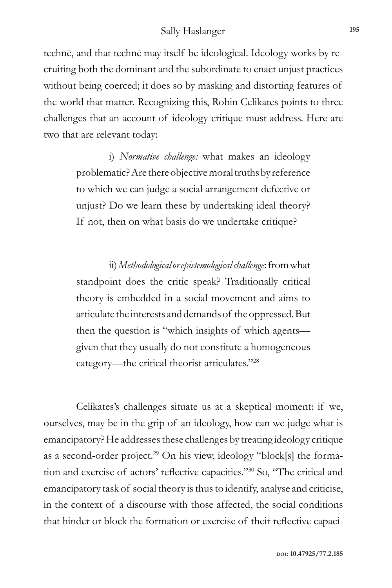technē, and that technē may itself be ideological. Ideology works by recruiting both the dominant and the subordinate to enact unjust practices without being coerced; it does so by masking and distorting features of the world that matter. Recognizing this, Robin Celikates points to three challenges that an account of ideology critique must address. Here are two that are relevant today:

> i) *Normative challenge:* what makes an ideology problematic? Are there objective moral truths by reference to which we can judge a social arrangement defective or unjust? Do we learn these by undertaking ideal theory? If not, then on what basis do we undertake critique?

> ii) *Methodological or epistemological challenge*: from what standpoint does the critic speak? Traditionally critical theory is embedded in a social movement and aims to articulate the interests and demands of the oppressed. But then the question is "which insights of which agents given that they usually do not constitute a homogeneous category—the critical theorist articulates."28

Celikates's challenges situate us at a skeptical moment: if we, ourselves, may be in the grip of an ideology, how can we judge what is emancipatory? He addresses these challenges by treating ideology critique as a second-order project.29 On his view, ideology "block[s] the formation and exercise of actors' reflective capacities."30 So, "The critical and emancipatory task of social theory is thus to identify, analyse and criticise, in the context of a discourse with those affected, the social conditions that hinder or block the formation or exercise of their reflective capaci-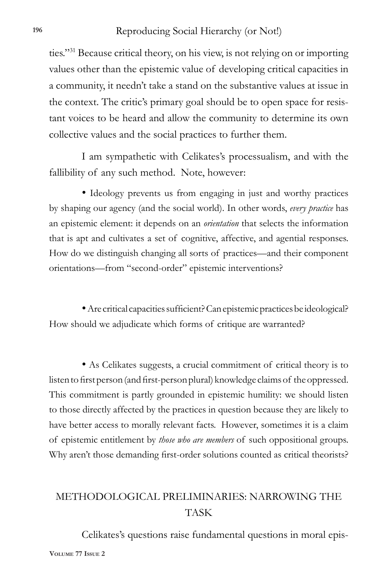ties."31 Because critical theory, on his view, is not relying on or importing values other than the epistemic value of developing critical capacities in a community, it needn't take a stand on the substantive values at issue in the context. The critic's primary goal should be to open space for resistant voices to be heard and allow the community to determine its own collective values and the social practices to further them.

I am sympathetic with Celikates's processualism, and with the fallibility of any such method. Note, however:

• Ideology prevents us from engaging in just and worthy practices by shaping our agency (and the social world). In other words, *every practice* has an epistemic element: it depends on an *orientation* that selects the information that is apt and cultivates a set of cognitive, affective, and agential responses. How do we distinguish changing all sorts of practices—and their component orientations—from "second-order" epistemic interventions?

• Are critical capacities sufficient? Can epistemic practices be ideological? How should we adjudicate which forms of critique are warranted?

• As Celikates suggests, a crucial commitment of critical theory is to listen to first person (and first-person plural) knowledge claims of the oppressed. This commitment is partly grounded in epistemic humility: we should listen to those directly affected by the practices in question because they are likely to have better access to morally relevant facts. However, sometimes it is a claim of epistemic entitlement by *those who are members* of such oppositional groups. Why aren't those demanding first-order solutions counted as critical theorists?

# METHODOLOGICAL PRELIMINARIES: NARROWING THE TASK

**Volume 77 Issue 2** Celikates's questions raise fundamental questions in moral epis-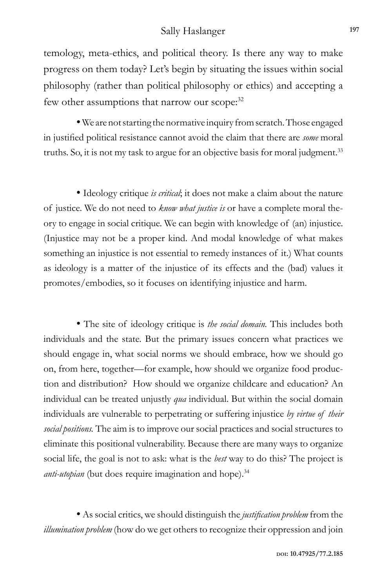temology, meta-ethics, and political theory. Is there any way to make progress on them today? Let's begin by situating the issues within social philosophy (rather than political philosophy or ethics) and accepting a few other assumptions that narrow our scope:<sup>32</sup>

• We are not starting the normative inquiry from scratch. Those engaged in justified political resistance cannot avoid the claim that there are *some* moral truths. So, it is not my task to argue for an objective basis for moral judgment.<sup>33</sup>

• Ideology critique *is critical*; it does not make a claim about the nature of justice. We do not need to *know what justice is* or have a complete moral theory to engage in social critique. We can begin with knowledge of (an) injustice. (Injustice may not be a proper kind. And modal knowledge of what makes something an injustice is not essential to remedy instances of it.) What counts as ideology is a matter of the injustice of its effects and the (bad) values it promotes/embodies, so it focuses on identifying injustice and harm.

• The site of ideology critique is *the social domain.* This includes both individuals and the state. But the primary issues concern what practices we should engage in, what social norms we should embrace, how we should go on, from here, together—for example, how should we organize food production and distribution? How should we organize childcare and education? An individual can be treated unjustly *qua* individual. But within the social domain individuals are vulnerable to perpetrating or suffering injustice *by virtue of their social positions.* The aim is to improve our social practices and social structures to eliminate this positional vulnerability. Because there are many ways to organize social life, the goal is not to ask: what is the *best* way to do this? The project is *anti-utopian* (but does require imagination and hope).<sup>34</sup>

• As social critics, we should distinguish the *justification problem* from the *illumination problem* (how do we get others to recognize their oppression and join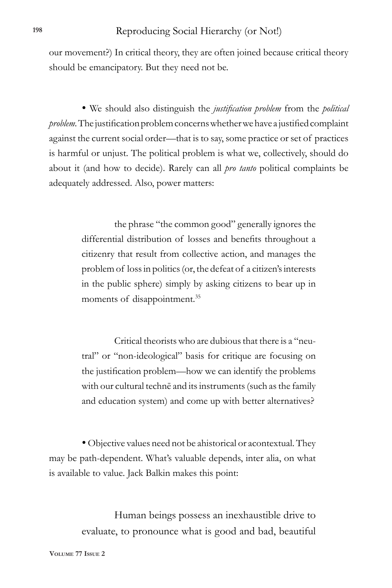our movement?) In critical theory, they are often joined because critical theory should be emancipatory. But they need not be.

• We should also distinguish the *justification problem* from the *political problem.* The justification problem concerns whether we have a justified complaint against the current social order—that is to say, some practice or set of practices is harmful or unjust. The political problem is what we, collectively, should do about it (and how to decide). Rarely can all *pro tanto* political complaints be adequately addressed. Also, power matters:

> the phrase "the common good" generally ignores the differential distribution of losses and benefits throughout a citizenry that result from collective action, and manages the problem of loss in politics (or, the defeat of a citizen's interests in the public sphere) simply by asking citizens to bear up in moments of disappointment.<sup>35</sup>

> Critical theorists who are dubious that there is a "neutral" or "non-ideological" basis for critique are focusing on the justification problem—how we can identify the problems with our cultural technē and its instruments (such as the family and education system) and come up with better alternatives?

• Objective values need not be ahistorical or acontextual. They may be path-dependent. What's valuable depends, inter alia, on what is available to value. Jack Balkin makes this point:

> Human beings possess an inexhaustible drive to evaluate, to pronounce what is good and bad, beautiful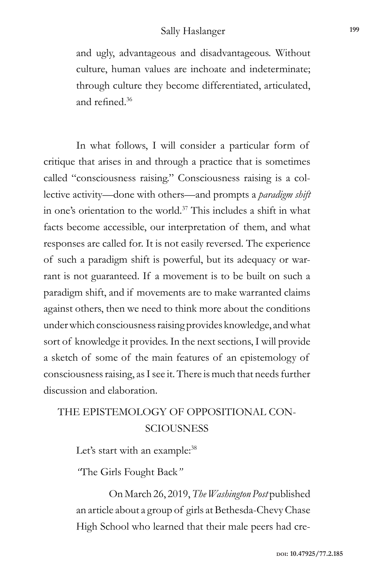and ugly, advantageous and disadvantageous. Without culture, human values are inchoate and indeterminate; through culture they become differentiated, articulated, and refined.<sup>36</sup>

In what follows, I will consider a particular form of critique that arises in and through a practice that is sometimes called "consciousness raising." Consciousness raising is a collective activity—done with others—and prompts a *paradigm shift* in one's orientation to the world.37 This includes a shift in what facts become accessible, our interpretation of them, and what responses are called for. It is not easily reversed. The experience of such a paradigm shift is powerful, but its adequacy or warrant is not guaranteed. If a movement is to be built on such a paradigm shift, and if movements are to make warranted claims against others, then we need to think more about the conditions under which consciousness raising provides knowledge, and what sort of knowledge it provides. In the next sections, I will provide a sketch of some of the main features of an epistemology of consciousness raising, as I see it. There is much that needs further discussion and elaboration.

## THE EPISTEMOLOGY OF OPPOSITIONAL CON-**SCIOUSNESS**

Let's start with an example:<sup>38</sup>

*"*The Girls Fought Back*"*

On March 26, 2019, *The Washington Post* published an article about a group of girls at Bethesda-Chevy Chase High School who learned that their male peers had cre-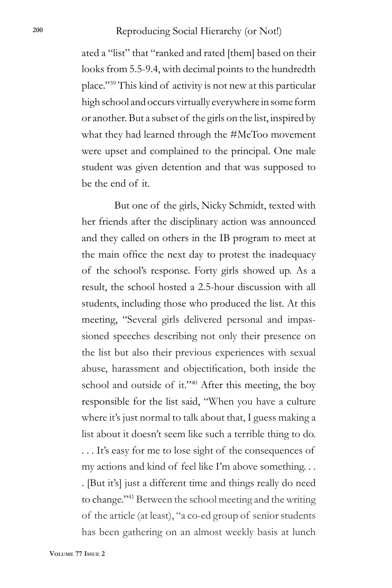#### Reproducing Social Hierarchy (or Not!) **<sup>200</sup>**

ated a "list" that "ranked and rated [them] based on their looks from 5.5-9.4, with decimal points to the hundredth place."39 This kind of activity is not new at this particular high school and occurs virtually everywhere in some form or another. But a subset of the girls on the list, inspired by what they had learned through the #MeToo movement were upset and complained to the principal. One male student was given detention and that was supposed to be the end of it.

But one of the girls, Nicky Schmidt, texted with her friends after the disciplinary action was announced and they called on others in the IB program to meet at the main office the next day to protest the inadequacy of the school's response. Forty girls showed up. As a result, the school hosted a 2.5-hour discussion with all students, including those who produced the list. At this meeting, "Several girls delivered personal and impassioned speeches describing not only their presence on the list but also their previous experiences with sexual abuse, harassment and objectification, both inside the school and outside of it."40 After this meeting, the boy responsible for the list said, "When you have a culture where it's just normal to talk about that, I guess making a list about it doesn't seem like such a terrible thing to do. . . . It's easy for me to lose sight of the consequences of my actions and kind of feel like I'm above something. . . . [But it's] just a different time and things really do need to change."41 Between the school meeting and the writing of the article (at least), "a co-ed group of senior students has been gathering on an almost weekly basis at lunch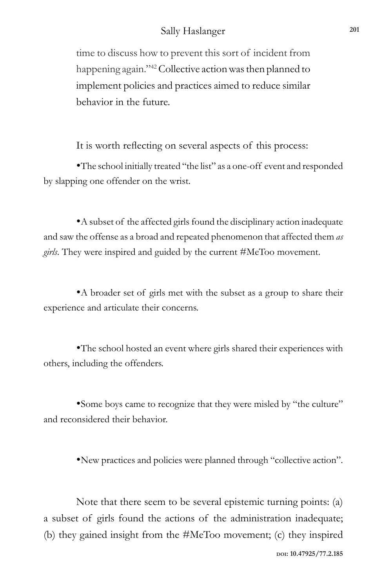time to discuss how to prevent this sort of incident from happening again."<sup>42</sup> Collective action was then planned to implement policies and practices aimed to reduce similar behavior in the future.

It is worth reflecting on several aspects of this process:

•The school initially treated "the list" as a one-off event and responded by slapping one offender on the wrist.

•A subset of the affected girls found the disciplinary action inadequate and saw the offense as a broad and repeated phenomenon that affected them *as girls*. They were inspired and guided by the current #MeToo movement.

•A broader set of girls met with the subset as a group to share their experience and articulate their concerns.

•The school hosted an event where girls shared their experiences with others, including the offenders.

•Some boys came to recognize that they were misled by "the culture" and reconsidered their behavior.

•New practices and policies were planned through "collective action".

Note that there seem to be several epistemic turning points: (a) a subset of girls found the actions of the administration inadequate; (b) they gained insight from the #MeToo movement; (c) they inspired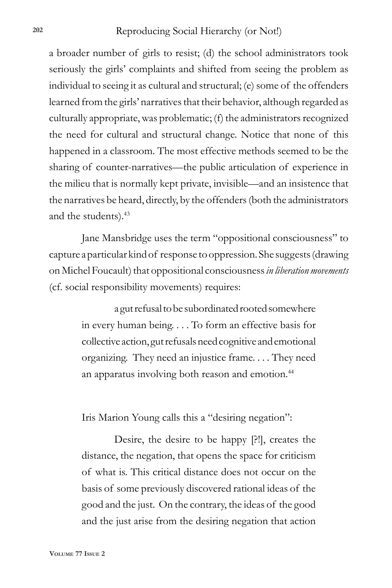a broader number of girls to resist; (d) the school administrators took seriously the girls' complaints and shifted from seeing the problem as individual to seeing it as cultural and structural; (e) some of the offenders learned from the girls' narratives that their behavior, although regarded as culturally appropriate, was problematic; (f) the administrators recognized the need for cultural and structural change. Notice that none of this happened in a classroom. The most effective methods seemed to be the sharing of counter-narratives—the public articulation of experience in the milieu that is normally kept private, invisible—and an insistence that the narratives be heard, directly, by the offenders (both the administrators and the students).43

Jane Mansbridge uses the term "oppositional consciousness" to capture a particular kind of response to oppression. She suggests (drawing on Michel Foucault) that oppositional consciousness *in liberation movements* (cf. social responsibility movements) requires:

> a gut refusal to be subordinated rooted somewhere in every human being. . . . To form an effective basis for collective action, gut refusals need cognitive and emotional organizing. They need an injustice frame. . . . They need an apparatus involving both reason and emotion.<sup>44</sup>

Iris Marion Young calls this a "desiring negation":

Desire, the desire to be happy [?!], creates the distance, the negation, that opens the space for criticism of what is. This critical distance does not occur on the basis of some previously discovered rational ideas of the good and the just. On the contrary, the ideas of the good and the just arise from the desiring negation that action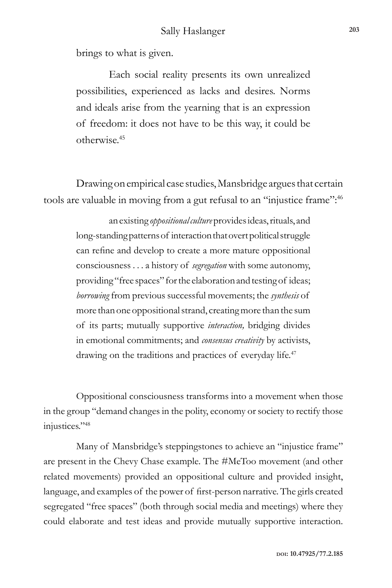brings to what is given.

Each social reality presents its own unrealized possibilities, experienced as lacks and desires. Norms and ideals arise from the yearning that is an expression of freedom: it does not have to be this way, it could be otherwise.45

Drawing on empirical case studies, Mansbridge argues that certain tools are valuable in moving from a gut refusal to an "injustice frame":46

> an existing *oppositional culture* provides ideas, rituals, and long-standing patterns of interaction that overt political struggle can refine and develop to create a more mature oppositional consciousness . . . a history of *segregation* with some autonomy, providing "free spaces" for the elaboration and testing of ideas; *borrowing* from previous successful movements; the *synthesis* of more than one oppositional strand, creating more than the sum of its parts; mutually supportive *interaction,* bridging divides in emotional commitments; and *consensus creativity* by activists, drawing on the traditions and practices of everyday life.<sup>47</sup>

Oppositional consciousness transforms into a movement when those in the group "demand changes in the polity, economy or society to rectify those injustices."48

Many of Mansbridge's steppingstones to achieve an "injustice frame" are present in the Chevy Chase example. The #MeToo movement (and other related movements) provided an oppositional culture and provided insight, language, and examples of the power of first-person narrative. The girls created segregated "free spaces" (both through social media and meetings) where they could elaborate and test ideas and provide mutually supportive interaction.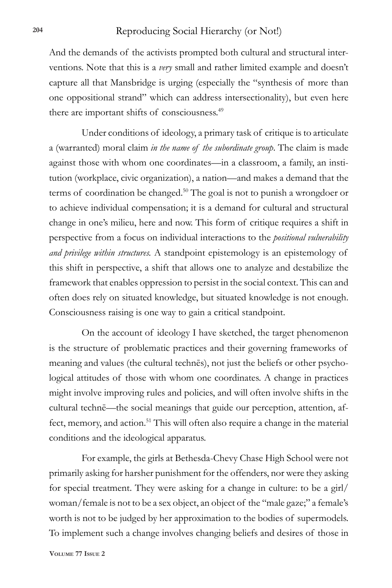And the demands of the activists prompted both cultural and structural interventions. Note that this is a *very* small and rather limited example and doesn't capture all that Mansbridge is urging (especially the "synthesis of more than one oppositional strand" which can address intersectionality), but even here there are important shifts of consciousness.<sup>49</sup>

Under conditions of ideology, a primary task of critique is to articulate a (warranted) moral claim *in the name of the subordinate group*. The claim is made against those with whom one coordinates—in a classroom, a family, an institution (workplace, civic organization), a nation—and makes a demand that the terms of coordination be changed.<sup>50</sup> The goal is not to punish a wrongdoer or to achieve individual compensation; it is a demand for cultural and structural change in one's milieu, here and now. This form of critique requires a shift in perspective from a focus on individual interactions to the *positional vulnerability and privilege within structures.* A standpoint epistemology is an epistemology of this shift in perspective, a shift that allows one to analyze and destabilize the framework that enables oppression to persist in the social context. This can and often does rely on situated knowledge, but situated knowledge is not enough. Consciousness raising is one way to gain a critical standpoint.

On the account of ideology I have sketched, the target phenomenon is the structure of problematic practices and their governing frameworks of meaning and values (the cultural technēs), not just the beliefs or other psychological attitudes of those with whom one coordinates. A change in practices might involve improving rules and policies, and will often involve shifts in the cultural technē—the social meanings that guide our perception, attention, affect, memory, and action.<sup>51</sup> This will often also require a change in the material conditions and the ideological apparatus.

For example, the girls at Bethesda-Chevy Chase High School were not primarily asking for harsher punishment for the offenders, nor were they asking for special treatment. They were asking for a change in culture: to be a girl/ woman/female is not to be a sex object, an object of the "male gaze;" a female's worth is not to be judged by her approximation to the bodies of supermodels. To implement such a change involves changing beliefs and desires of those in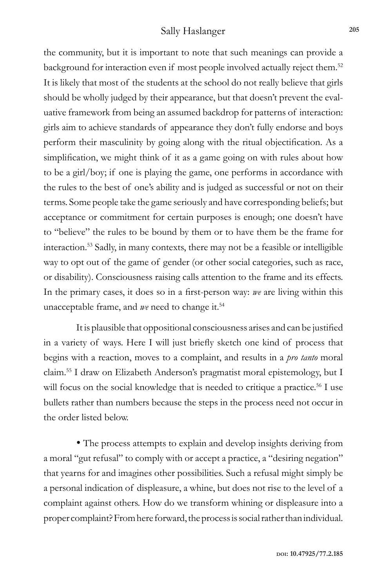the community, but it is important to note that such meanings can provide a background for interaction even if most people involved actually reject them.<sup>52</sup> It is likely that most of the students at the school do not really believe that girls should be wholly judged by their appearance, but that doesn't prevent the evaluative framework from being an assumed backdrop for patterns of interaction: girls aim to achieve standards of appearance they don't fully endorse and boys perform their masculinity by going along with the ritual objectification. As a simplification, we might think of it as a game going on with rules about how to be a girl/boy; if one is playing the game, one performs in accordance with the rules to the best of one's ability and is judged as successful or not on their terms. Some people take the game seriously and have corresponding beliefs; but acceptance or commitment for certain purposes is enough; one doesn't have to "believe" the rules to be bound by them or to have them be the frame for interaction.53 Sadly, in many contexts, there may not be a feasible or intelligible way to opt out of the game of gender (or other social categories, such as race, or disability). Consciousness raising calls attention to the frame and its effects. In the primary cases, it does so in a first-person way: *we* are living within this unacceptable frame, and *we* need to change it.<sup>54</sup>

It is plausible that oppositional consciousness arises and can be justified in a variety of ways. Here I will just briefly sketch one kind of process that begins with a reaction, moves to a complaint, and results in a *pro tanto* moral claim.55 I draw on Elizabeth Anderson's pragmatist moral epistemology, but I will focus on the social knowledge that is needed to critique a practice.<sup>56</sup> I use bullets rather than numbers because the steps in the process need not occur in the order listed below.

• The process attempts to explain and develop insights deriving from a moral "gut refusal" to comply with or accept a practice, a "desiring negation" that yearns for and imagines other possibilities. Such a refusal might simply be a personal indication of displeasure, a whine, but does not rise to the level of a complaint against others. How do we transform whining or displeasure into a proper complaint? From here forward, the process is social rather than individual.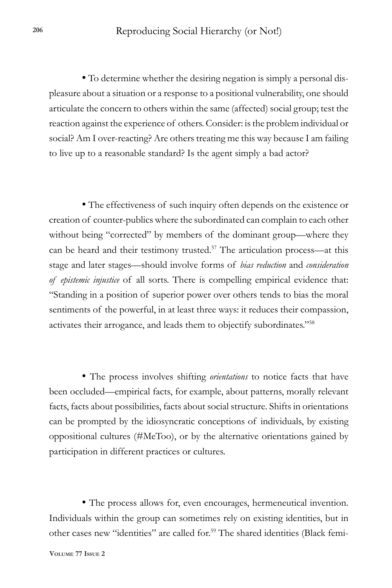• To determine whether the desiring negation is simply a personal displeasure about a situation or a response to a positional vulnerability, one should articulate the concern to others within the same (affected) social group; test the reaction against the experience of others. Consider: is the problem individual or social? Am I over-reacting? Are others treating me this way because I am failing to live up to a reasonable standard? Is the agent simply a bad actor?

• The effectiveness of such inquiry often depends on the existence or creation of counter-publics where the subordinated can complain to each other without being "corrected" by members of the dominant group—where they can be heard and their testimony trusted.<sup>57</sup> The articulation process—at this stage and later stages—should involve forms of *bias reduction* and *consideration of epistemic injustice* of all sorts. There is compelling empirical evidence that: "Standing in a position of superior power over others tends to bias the moral sentiments of the powerful, in at least three ways: it reduces their compassion, activates their arrogance, and leads them to objectify subordinates."58

• The process involves shifting *orientations* to notice facts that have been occluded—empirical facts, for example, about patterns, morally relevant facts, facts about possibilities, facts about social structure. Shifts in orientations can be prompted by the idiosyncratic conceptions of individuals, by existing oppositional cultures (#MeToo), or by the alternative orientations gained by participation in different practices or cultures.

• The process allows for, even encourages, hermeneutical invention. Individuals within the group can sometimes rely on existing identities, but in other cases new "identities" are called for.<sup>59</sup> The shared identities (Black femi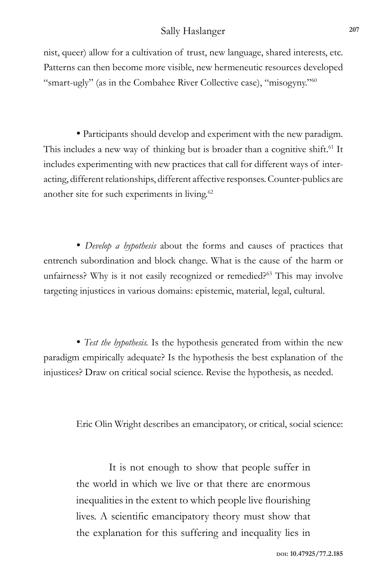nist, queer) allow for a cultivation of trust, new language, shared interests, etc. Patterns can then become more visible, new hermeneutic resources developed "smart-ugly" (as in the Combahee River Collective case), "misogyny."60

• Participants should develop and experiment with the new paradigm. This includes a new way of thinking but is broader than a cognitive shift.<sup>61</sup> It includes experimenting with new practices that call for different ways of interacting, different relationships, different affective responses. Counter-publics are another site for such experiments in living.<sup>62</sup>

• *Develop a hypothesis* about the forms and causes of practices that entrench subordination and block change. What is the cause of the harm or unfairness? Why is it not easily recognized or remedied?<sup>63</sup> This may involve targeting injustices in various domains: epistemic, material, legal, cultural.

• *Test the hypothesis.* Is the hypothesis generated from within the new paradigm empirically adequate? Is the hypothesis the best explanation of the injustices? Draw on critical social science. Revise the hypothesis, as needed.

Eric Olin Wright describes an emancipatory, or critical, social science:

It is not enough to show that people suffer in the world in which we live or that there are enormous inequalities in the extent to which people live flourishing lives. A scientific emancipatory theory must show that the explanation for this suffering and inequality lies in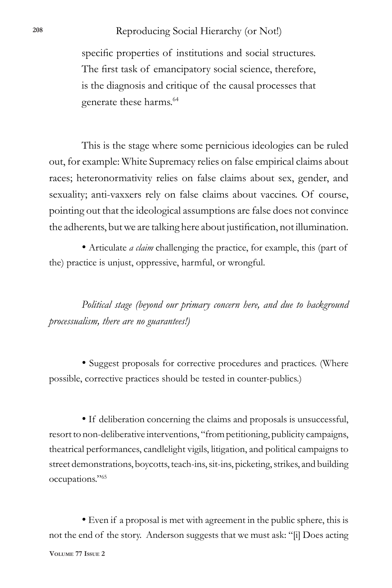specific properties of institutions and social structures. The first task of emancipatory social science, therefore, is the diagnosis and critique of the causal processes that generate these harms.64

This is the stage where some pernicious ideologies can be ruled out, for example: White Supremacy relies on false empirical claims about races; heteronormativity relies on false claims about sex, gender, and sexuality; anti-vaxxers rely on false claims about vaccines. Of course, pointing out that the ideological assumptions are false does not convince the adherents, but we are talking here about justification, not illumination.

• Articulate *a claim* challenging the practice, for example, this (part of the) practice is unjust, oppressive, harmful, or wrongful.

*Political stage (beyond our primary concern here, and due to background processualism, there are no guarantees!)*

• Suggest proposals for corrective procedures and practices. (Where possible, corrective practices should be tested in counter-publics.)

• If deliberation concerning the claims and proposals is unsuccessful, resort to non-deliberative interventions, "from petitioning, publicity campaigns, theatrical performances, candlelight vigils, litigation, and political campaigns to street demonstrations, boycotts, teach-ins, sit-ins, picketing, strikes, and building occupations."65

**Volume 77 Issue 2** • Even if a proposal is met with agreement in the public sphere, this is not the end of the story. Anderson suggests that we must ask: "[i] Does acting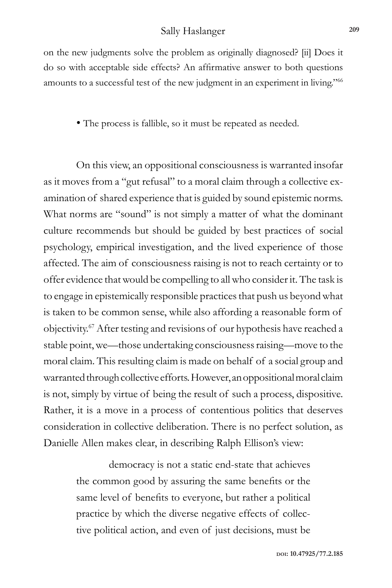on the new judgments solve the problem as originally diagnosed? [ii] Does it do so with acceptable side effects? An affirmative answer to both questions amounts to a successful test of the new judgment in an experiment in living."66

• The process is fallible, so it must be repeated as needed.

On this view, an oppositional consciousness is warranted insofar as it moves from a "gut refusal" to a moral claim through a collective examination of shared experience that is guided by sound epistemic norms. What norms are "sound" is not simply a matter of what the dominant culture recommends but should be guided by best practices of social psychology, empirical investigation, and the lived experience of those affected. The aim of consciousness raising is not to reach certainty or to offer evidence that would be compelling to all who consider it. The task is to engage in epistemically responsible practices that push us beyond what is taken to be common sense, while also affording a reasonable form of objectivity.67 After testing and revisions of our hypothesis have reached a stable point, we—those undertaking consciousness raising—move to the moral claim. This resulting claim is made on behalf of a social group and warranted through collective efforts. However, an oppositional moral claim is not, simply by virtue of being the result of such a process, dispositive. Rather, it is a move in a process of contentious politics that deserves consideration in collective deliberation. There is no perfect solution, as Danielle Allen makes clear, in describing Ralph Ellison's view:

> democracy is not a static end-state that achieves the common good by assuring the same benefits or the same level of benefits to everyone, but rather a political practice by which the diverse negative effects of collective political action, and even of just decisions, must be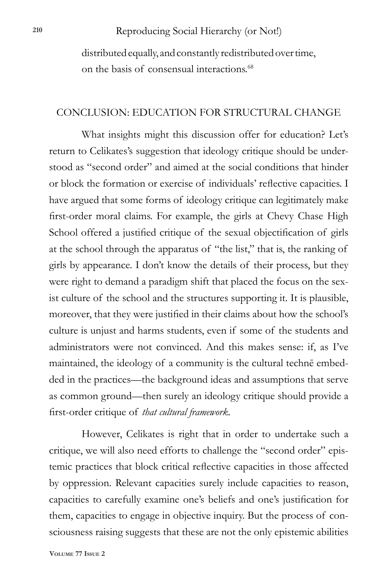Reproducing Social Hierarchy (or Not!) **<sup>210</sup>**

distributed equally, and constantly redistributed over time, on the basis of consensual interactions.<sup>68</sup>

#### CONCLUSION: EDUCATION FOR STRUCTURAL CHANGE

What insights might this discussion offer for education? Let's return to Celikates's suggestion that ideology critique should be understood as "second order" and aimed at the social conditions that hinder or block the formation or exercise of individuals' reflective capacities. I have argued that some forms of ideology critique can legitimately make first-order moral claims. For example, the girls at Chevy Chase High School offered a justified critique of the sexual objectification of girls at the school through the apparatus of "the list," that is, the ranking of girls by appearance. I don't know the details of their process, but they were right to demand a paradigm shift that placed the focus on the sexist culture of the school and the structures supporting it. It is plausible, moreover, that they were justified in their claims about how the school's culture is unjust and harms students, even if some of the students and administrators were not convinced. And this makes sense: if, as I've maintained, the ideology of a community is the cultural technē embedded in the practices—the background ideas and assumptions that serve as common ground—then surely an ideology critique should provide a first-order critique of *that cultural framework.*

However, Celikates is right that in order to undertake such a critique, we will also need efforts to challenge the "second order" epistemic practices that block critical reflective capacities in those affected by oppression. Relevant capacities surely include capacities to reason, capacities to carefully examine one's beliefs and one's justification for them, capacities to engage in objective inquiry. But the process of consciousness raising suggests that these are not the only epistemic abilities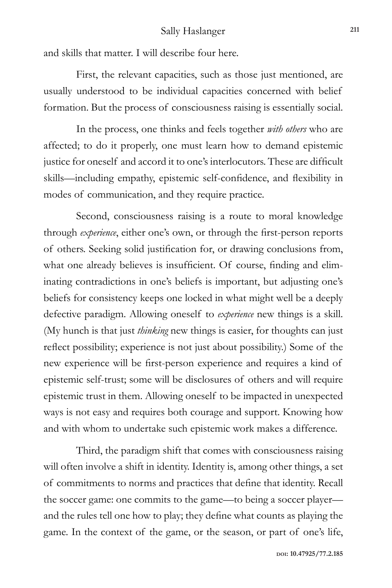and skills that matter. I will describe four here.

First, the relevant capacities, such as those just mentioned, are usually understood to be individual capacities concerned with belief formation. But the process of consciousness raising is essentially social.

In the process, one thinks and feels together *with others* who are affected; to do it properly, one must learn how to demand epistemic justice for oneself and accord it to one's interlocutors. These are difficult skills—including empathy, epistemic self-confidence, and flexibility in modes of communication, and they require practice.

Second, consciousness raising is a route to moral knowledge through *experience*, either one's own, or through the first-person reports of others. Seeking solid justification for, or drawing conclusions from, what one already believes is insufficient. Of course, finding and eliminating contradictions in one's beliefs is important, but adjusting one's beliefs for consistency keeps one locked in what might well be a deeply defective paradigm. Allowing oneself to *experience* new things is a skill. (My hunch is that just *thinking* new things is easier, for thoughts can just reflect possibility; experience is not just about possibility.) Some of the new experience will be first-person experience and requires a kind of epistemic self-trust; some will be disclosures of others and will require epistemic trust in them. Allowing oneself to be impacted in unexpected ways is not easy and requires both courage and support. Knowing how and with whom to undertake such epistemic work makes a difference.

Third, the paradigm shift that comes with consciousness raising will often involve a shift in identity. Identity is, among other things, a set of commitments to norms and practices that define that identity. Recall the soccer game: one commits to the game—to being a soccer player and the rules tell one how to play; they define what counts as playing the game. In the context of the game, or the season, or part of one's life,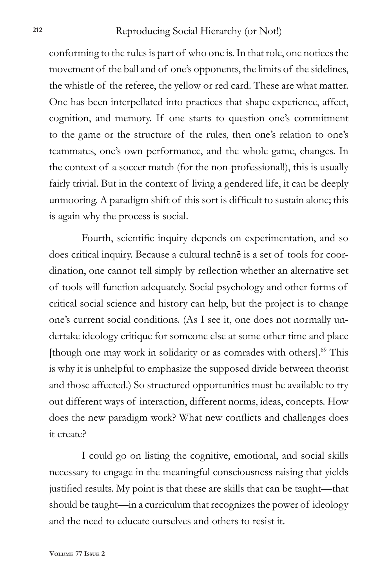conforming to the rules is part of who one is. In that role, one notices the movement of the ball and of one's opponents, the limits of the sidelines, the whistle of the referee, the yellow or red card. These are what matter. One has been interpellated into practices that shape experience, affect, cognition, and memory. If one starts to question one's commitment to the game or the structure of the rules, then one's relation to one's teammates, one's own performance, and the whole game, changes. In the context of a soccer match (for the non-professional!), this is usually fairly trivial. But in the context of living a gendered life, it can be deeply unmooring. A paradigm shift of this sort is difficult to sustain alone; this is again why the process is social.

Fourth, scientific inquiry depends on experimentation, and so does critical inquiry. Because a cultural technē is a set of tools for coordination, one cannot tell simply by reflection whether an alternative set of tools will function adequately. Social psychology and other forms of critical social science and history can help, but the project is to change one's current social conditions. (As I see it, one does not normally undertake ideology critique for someone else at some other time and place [though one may work in solidarity or as comrades with others].<sup>69</sup> This is why it is unhelpful to emphasize the supposed divide between theorist and those affected.) So structured opportunities must be available to try out different ways of interaction, different norms, ideas, concepts. How does the new paradigm work? What new conflicts and challenges does it create?

I could go on listing the cognitive, emotional, and social skills necessary to engage in the meaningful consciousness raising that yields justified results. My point is that these are skills that can be taught—that should be taught—in a curriculum that recognizes the power of ideology and the need to educate ourselves and others to resist it.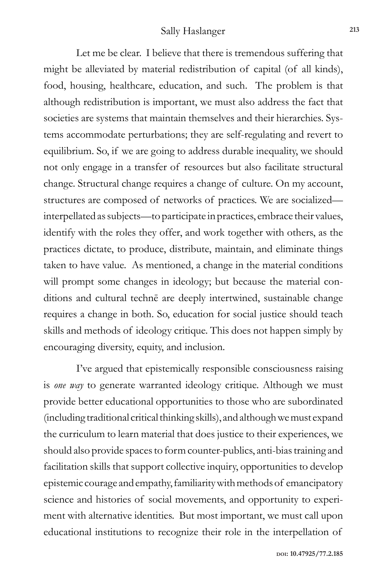Let me be clear. I believe that there is tremendous suffering that might be alleviated by material redistribution of capital (of all kinds), food, housing, healthcare, education, and such. The problem is that although redistribution is important, we must also address the fact that societies are systems that maintain themselves and their hierarchies. Systems accommodate perturbations; they are self-regulating and revert to equilibrium. So, if we are going to address durable inequality, we should not only engage in a transfer of resources but also facilitate structural change. Structural change requires a change of culture. On my account, structures are composed of networks of practices. We are socialized interpellated as subjects—to participate in practices, embrace their values, identify with the roles they offer, and work together with others, as the practices dictate, to produce, distribute, maintain, and eliminate things taken to have value. As mentioned, a change in the material conditions will prompt some changes in ideology; but because the material conditions and cultural technē are deeply intertwined, sustainable change requires a change in both. So, education for social justice should teach skills and methods of ideology critique. This does not happen simply by encouraging diversity, equity, and inclusion.

I've argued that epistemically responsible consciousness raising is *one way* to generate warranted ideology critique. Although we must provide better educational opportunities to those who are subordinated (including traditional critical thinking skills), and although we must expand the curriculum to learn material that does justice to their experiences, we should also provide spaces to form counter-publics, anti-bias training and facilitation skills that support collective inquiry, opportunities to develop epistemic courage and empathy, familiarity with methods of emancipatory science and histories of social movements, and opportunity to experiment with alternative identities. But most important, we must call upon educational institutions to recognize their role in the interpellation of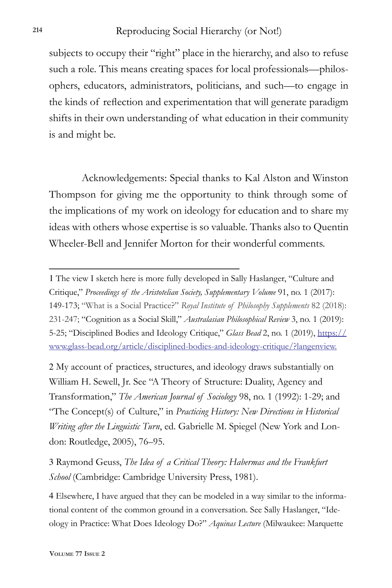subjects to occupy their "right" place in the hierarchy, and also to refuse such a role. This means creating spaces for local professionals—philosophers, educators, administrators, politicians, and such—to engage in the kinds of reflection and experimentation that will generate paradigm shifts in their own understanding of what education in their community is and might be.

Acknowledgements: Special thanks to Kal Alston and Winston Thompson for giving me the opportunity to think through some of the implications of my work on ideology for education and to share my ideas with others whose expertise is so valuable. Thanks also to Quentin Wheeler-Bell and Jennifer Morton for their wonderful comments.

2 My account of practices, structures, and ideology draws substantially on William H. Sewell, Jr. See "A Theory of Structure: Duality, Agency and Transformation," *The American Journal of Sociology* 98, no. 1 (1992): 1-29; and "The Concept(s) of Culture," in *Practicing History: New Directions in Historical Writing after the Linguistic Turn*, ed. Gabrielle M. Spiegel (New York and London: Routledge, 2005), 76–95.

3 Raymond Geuss, *The Idea of a Critical Theory: Habermas and the Frankfurt School* (Cambridge: Cambridge University Press, 1981).

4 Elsewhere, I have argued that they can be modeled in a way similar to the informational content of the common ground in a conversation. See Sally Haslanger, "Ideology in Practice: What Does Ideology Do?" *Aquinas Lecture* (Milwaukee: Marquette

<sup>1</sup> The view I sketch here is more fully developed in Sally Haslanger, "Culture and Critique," *Proceedings of the Aristotelian Society, Supplementary Volume* 91, no. 1 (2017): 149-173; "What is a Social Practice?" *Royal Institute of Philosophy Supplements* 82 (2018): 231-247; "Cognition as a Social Skill," *Australasian Philosophical Review* 3, no. 1 (2019): 5-25; "Disciplined Bodies and Ideology Critique," *Glass Bead* 2, no. 1 (2019), https:// www.glass-bead.org/article/disciplined-bodies-and-ideology-critique/?langenview.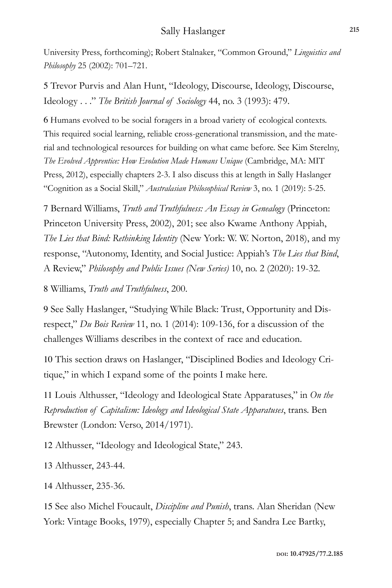University Press, forthcoming); Robert Stalnaker, "Common Ground," *Linguistics and Philosophy* 25 (2002): 701–721.

5 Trevor Purvis and Alan Hunt, "Ideology, Discourse, Ideology, Discourse, Ideology . . ." *The British Journal of Sociology* 44, no. 3 (1993): 479.

6 Humans evolved to be social foragers in a broad variety of ecological contexts. This required social learning, reliable cross-generational transmission, and the material and technological resources for building on what came before. See Kim Sterelny, *The Evolved Apprentice: How Evolution Made Humans Unique* (Cambridge, MA: MIT Press, 2012), especially chapters 2-3. I also discuss this at length in Sally Haslanger "Cognition as a Social Skill," *Australasian Philosophical Review* 3, no. 1 (2019): 5-25.

7 Bernard Williams, *Truth and Truthfulness: An Essay in Genealogy* (Princeton: Princeton University Press, 2002), 201; see also Kwame Anthony Appiah, *The Lies that Bind: Rethinking Identity* (New York: W. W. Norton, 2018), and my response, "Autonomy, Identity, and Social Justice: Appiah's *The Lies that Bind*, A Review," *Philosophy and Public Issues (New Series)* 10, no. 2 (2020): 19-32.

8 Williams, *Truth and Truthfulness*, 200.

9 See Sally Haslanger, "Studying While Black: Trust, Opportunity and Disrespect," *Du Bois Review* 11, no. 1 (2014): 109-136, for a discussion of the challenges Williams describes in the context of race and education.

10 This section draws on Haslanger, "Disciplined Bodies and Ideology Critique," in which I expand some of the points I make here.

11 Louis Althusser, "Ideology and Ideological State Apparatuses," in *On the Reproduction of Capitalism: Ideology and Ideological State Apparatuses*, trans. Ben Brewster (London: Verso, 2014/1971).

12 Althusser, "Ideology and Ideological State," 243.

13 Althusser, 243-44.

14 Althusser, 235-36.

15 See also Michel Foucault, *Discipline and Punish*, trans. Alan Sheridan (New York: Vintage Books, 1979), especially Chapter 5; and Sandra Lee Bartky,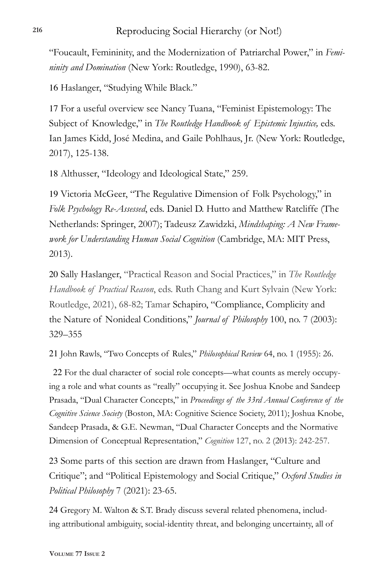"Foucault, Femininity, and the Modernization of Patriarchal Power," in *Femininity and Domination* (New York: Routledge, 1990), 63-82.

16 Haslanger, "Studying While Black."

17 For a useful overview see Nancy Tuana, "Feminist Epistemology: The Subject of Knowledge," in *The Routledge Handbook of Epistemic Injustice,* eds. Ian James Kidd, José Medina, and Gaile Pohlhaus, Jr. (New York: Routledge, 2017), 125-138.

18 Althusser, "Ideology and Ideological State," 259.

19 Victoria McGeer, "The Regulative Dimension of Folk Psychology," in *Folk Psychology Re-Assessed*, eds. Daniel D. Hutto and Matthew Ratcliffe (The Netherlands: Springer, 2007); Tadeusz Zawidzki, *Mindshaping: A New Framework for Understanding Human Social Cognition* (Cambridge, MA: MIT Press, 2013).

20 Sally Haslanger, "Practical Reason and Social Practices," in *The Routledge Handbook of Practical Reason*, eds. Ruth Chang and Kurt Sylvain (New York: Routledge, 2021), 68-82; Tamar Schapiro, "Compliance, Complicity and the Nature of Nonideal Conditions," *Journal of Philosophy* 100, no. 7 (2003): 329–355

21 John Rawls, "Two Concepts of Rules," *Philosophical Review* 64, no. 1 (1955): 26.

22 For the dual character of social role concepts—what counts as merely occupying a role and what counts as "really" occupying it. See Joshua Knobe and Sandeep Prasada, "Dual Character Concepts," in *Proceedings of the 33rd Annual Conference of the Cognitive Science Society* (Boston, MA: Cognitive Science Society, 2011); Joshua Knobe, Sandeep Prasada, & G.E. Newman, "Dual Character Concepts and the Normative Dimension of Conceptual Representation," *Cognition* 127, no. 2 (2013): 242-257.

23 Some parts of this section are drawn from Haslanger, "Culture and Critique"; and "Political Epistemology and Social Critique," *Oxford Studies in Political Philosophy* 7 (2021): 23-65.

24 Gregory M. Walton & S.T. Brady discuss several related phenomena, including attributional ambiguity, social-identity threat, and belonging uncertainty, all of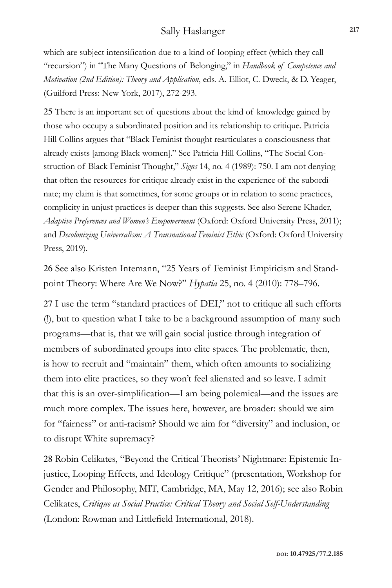which are subject intensification due to a kind of looping effect (which they call "recursion") in "The Many Questions of Belonging," in *Handbook of Competence and Motivation (2nd Edition): Theory and Application*, eds. A. Elliot, C. Dweck, & D. Yeager, (Guilford Press: New York, 2017), 272-293.

25 There is an important set of questions about the kind of knowledge gained by those who occupy a subordinated position and its relationship to critique. Patricia Hill Collins argues that "Black Feminist thought rearticulates a consciousness that already exists [among Black women]." See Patricia Hill Collins, "The Social Construction of Black Feminist Thought," *Signs* 14, no. 4 (1989): 750. I am not denying that often the resources for critique already exist in the experience of the subordinate; my claim is that sometimes, for some groups or in relation to some practices, complicity in unjust practices is deeper than this suggests. See also Serene Khader, *Adaptive Preferences and Women's Empowerment* (Oxford: Oxford University Press, 2011); and *Decolonizing Universalism: A Transnational Feminist Ethic* (Oxford: Oxford University Press, 2019).

26 See also Kristen Intemann, "25 Years of Feminist Empiricism and Standpoint Theory: Where Are We Now?" *Hypatia* 25, no. 4 (2010): 778–796.

27 I use the term "standard practices of DEI," not to critique all such efforts (!), but to question what I take to be a background assumption of many such programs—that is, that we will gain social justice through integration of members of subordinated groups into elite spaces. The problematic, then, is how to recruit and "maintain" them, which often amounts to socializing them into elite practices, so they won't feel alienated and so leave. I admit that this is an over-simplification—I am being polemical—and the issues are much more complex. The issues here, however, are broader: should we aim for "fairness" or anti-racism? Should we aim for "diversity" and inclusion, or to disrupt White supremacy?

28 Robin Celikates, "Beyond the Critical Theorists' Nightmare: Epistemic Injustice, Looping Effects, and Ideology Critique" (presentation, Workshop for Gender and Philosophy, MIT, Cambridge, MA, May 12, 2016); see also Robin Celikates, *Critique as Social Practice: Critical Theory and Social Self-Understanding*  (London: Rowman and Littlefield International, 2018).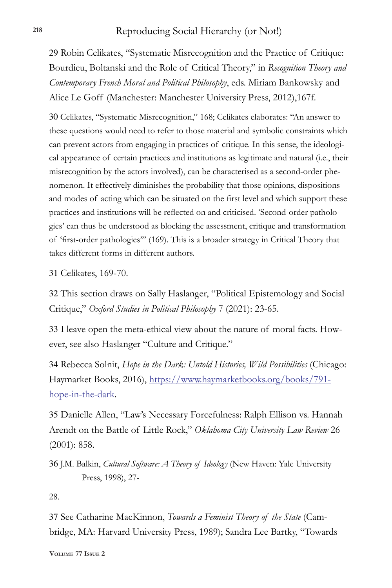29 Robin Celikates, "Systematic Misrecognition and the Practice of Critique: Bourdieu, Boltanski and the Role of Critical Theory," in *Recognition Theory and Contemporary French Moral and Political Philosophy*, eds. Miriam Bankowsky and Alice Le Goff (Manchester: Manchester University Press, 2012),167f.

30 Celikates, "Systematic Misrecognition," 168; Celikates elaborates: "An answer to these questions would need to refer to those material and symbolic constraints which can prevent actors from engaging in practices of critique. In this sense, the ideological appearance of certain practices and institutions as legitimate and natural (i.e., their misrecognition by the actors involved), can be characterised as a second-order phenomenon. It effectively diminishes the probability that those opinions, dispositions and modes of acting which can be situated on the first level and which support these practices and institutions will be reflected on and criticised. 'Second-order pathologies' can thus be understood as blocking the assessment, critique and transformation of 'first-order pathologies'" (169). This is a broader strategy in Critical Theory that takes different forms in different authors.

31 Celikates, 169-70.

32 This section draws on Sally Haslanger, "Political Epistemology and Social Critique," *Oxford Studies in Political Philosophy* 7 (2021): 23-65.

33 I leave open the meta-ethical view about the nature of moral facts. However, see also Haslanger "Culture and Critique."

34 Rebecca Solnit, *Hope in the Dark: Untold Histories, Wild Possibilities* (Chicago: Haymarket Books, 2016), https://www.haymarketbooks.org/books/791 hope-in-the-dark.

35 Danielle Allen, "Law's Necessary Forcefulness: Ralph Ellison vs. Hannah Arendt on the Battle of Little Rock," *Oklahoma City University Law Review* 26 (2001): 858.

36 J.M. Balkin, *Cultural Software: A Theory of Ideology* (New Haven: Yale University Press, 1998), 27-

28.

37 See Catharine MacKinnon, *Towards a Feminist Theory of the State* (Cambridge, MA: Harvard University Press, 1989); Sandra Lee Bartky, "Towards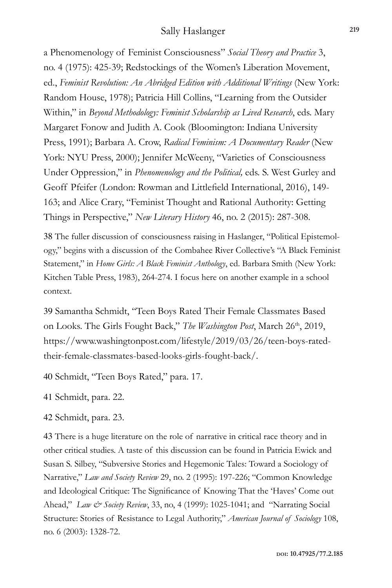a Phenomenology of Feminist Consciousness" *Social Theory and Practice* 3, no. 4 (1975): 425-39; Redstockings of the Women's Liberation Movement, ed., Feminist Revolution: An Abridged Edition with Additional Writings (New York: Random House, 1978); Patricia Hill Collins, "Learning from the Outsider Within," in *Beyond Methodology: Feminist Scholarship as Lived Research*, eds. Mary Margaret Fonow and Judith A. Cook (Bloomington: Indiana University Press, 1991); Barbara A. Crow, *Radical Feminism: A Documentary Reader* (New York: NYU Press, 2000); Jennifer McWeeny, "Varieties of Consciousness Under Oppression," in *Phenomenology and the Political,* eds. S. West Gurley and Geoff Pfeifer (London: Rowman and Littlefield International, 2016), 149- 163; and Alice Crary, "Feminist Thought and Rational Authority: Getting Things in Perspective," *New Literary History* 46, no. 2 (2015): 287-308.

38 The fuller discussion of consciousness raising in Haslanger, "Political Epistemology," begins with a discussion of the Combahee River Collective's "A Black Feminist Statement," in *Home Girls: A Black Feminist Anthology*, ed. Barbara Smith (New York: Kitchen Table Press, 1983), 264-274. I focus here on another example in a school context.

39 Samantha Schmidt, "Teen Boys Rated Their Female Classmates Based on Looks. The Girls Fought Back," *The Washington Post*, March 26<sup>th</sup>, 2019, https://www.washingtonpost.com/lifestyle/2019/03/26/teen-boys-ratedtheir-female-classmates-based-looks-girls-fought-back/.

40 Schmidt, "Teen Boys Rated," para. 17.

41 Schmidt, para. 22.

42 Schmidt, para. 23.

43 There is a huge literature on the role of narrative in critical race theory and in other critical studies. A taste of this discussion can be found in Patricia Ewick and Susan S. Silbey, "Subversive Stories and Hegemonic Tales: Toward a Sociology of Narrative," *Law and Society Review* 29, no. 2 (1995): 197-226; "Common Knowledge and Ideological Critique: The Significance of Knowing That the 'Haves' Come out Ahead," *Law & Society Review*, 33, no, 4 (1999): 1025-1041; and "Narrating Social Structure: Stories of Resistance to Legal Authority," *American Journal of Sociology* 108, no. 6 (2003): 1328-72.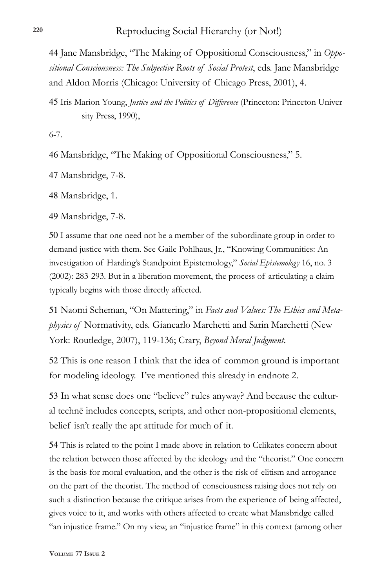44 Jane Mansbridge, "The Making of Oppositional Consciousness," in *Oppositional Consciousness: The Subjective Roots of Social Protest*, eds. Jane Mansbridge and Aldon Morris (Chicago: University of Chicago Press, 2001), 4.

45 Iris Marion Young, *Justice and the Politics of Difference* (Princeton: Princeton University Press, 1990),

6-7.

46 Mansbridge, "The Making of Oppositional Consciousness," 5.

47 Mansbridge, 7-8.

48 Mansbridge, 1.

49 Mansbridge, 7-8.

50 I assume that one need not be a member of the subordinate group in order to demand justice with them. See Gaile Pohlhaus, Jr., "Knowing Communities: An investigation of Harding's Standpoint Epistemology," *Social Epistemology* 16, no. 3 (2002): 283-293. But in a liberation movement, the process of articulating a claim typically begins with those directly affected.

51 Naomi Scheman, "On Mattering," in *Facts and Values: The Ethics and Metaphysics of* Normativity, eds. Giancarlo Marchetti and Sarin Marchetti (New York: Routledge, 2007), 119-136; Crary, *Beyond Moral Judgment*.

52 This is one reason I think that the idea of common ground is important for modeling ideology. I've mentioned this already in endnote 2.

53 In what sense does one "believe" rules anyway? And because the cultural technē includes concepts, scripts, and other non-propositional elements, belief isn't really the apt attitude for much of it.

54 This is related to the point I made above in relation to Celikates concern about the relation between those affected by the ideology and the "theorist." One concern is the basis for moral evaluation, and the other is the risk of elitism and arrogance on the part of the theorist. The method of consciousness raising does not rely on such a distinction because the critique arises from the experience of being affected, gives voice to it, and works with others affected to create what Mansbridge called "an injustice frame." On my view, an "injustice frame" in this context (among other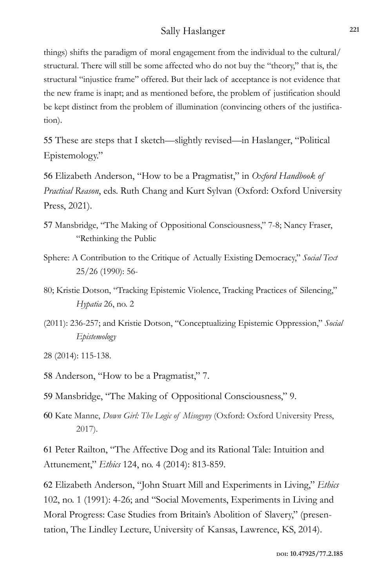things) shifts the paradigm of moral engagement from the individual to the cultural/ structural. There will still be some affected who do not buy the "theory," that is, the structural "injustice frame" offered. But their lack of acceptance is not evidence that the new frame is inapt; and as mentioned before, the problem of justification should be kept distinct from the problem of illumination (convincing others of the justification).

55 These are steps that I sketch—slightly revised—in Haslanger, "Political Epistemology."

56 Elizabeth Anderson, "How to be a Pragmatist," in *Oxford Handbook of Practical Reason*, eds. Ruth Chang and Kurt Sylvan (Oxford: Oxford University Press, 2021).

- 57 Mansbridge, "The Making of Oppositional Consciousness," 7-8; Nancy Fraser, "Rethinking the Public
- Sphere: A Contribution to the Critique of Actually Existing Democracy," *Social Text* 25/26 (1990): 56-
- 80; Kristie Dotson, "Tracking Epistemic Violence, Tracking Practices of Silencing," *Hypatia* 26, no. 2
- (2011): 236-257; and Kristie Dotson, "Conceptualizing Epistemic Oppression," *Social Epistemology*

28 (2014): 115-138.

- 58 Anderson, "How to be a Pragmatist," 7.
- 59 Mansbridge, "The Making of Oppositional Consciousness," 9.
- 60 Kate Manne, *Down Girl: The Logic of Misogyny* (Oxford: Oxford University Press, 2017).

61 Peter Railton, "The Affective Dog and its Rational Tale: Intuition and Attunement," *Ethics* 124, no. 4 (2014): 813-859.

62 Elizabeth Anderson, "John Stuart Mill and Experiments in Living," *Ethics* 102, no. 1 (1991): 4-26; and "Social Movements, Experiments in Living and Moral Progress: Case Studies from Britain's Abolition of Slavery," (presentation, The Lindley Lecture, University of Kansas, Lawrence, KS, 2014).